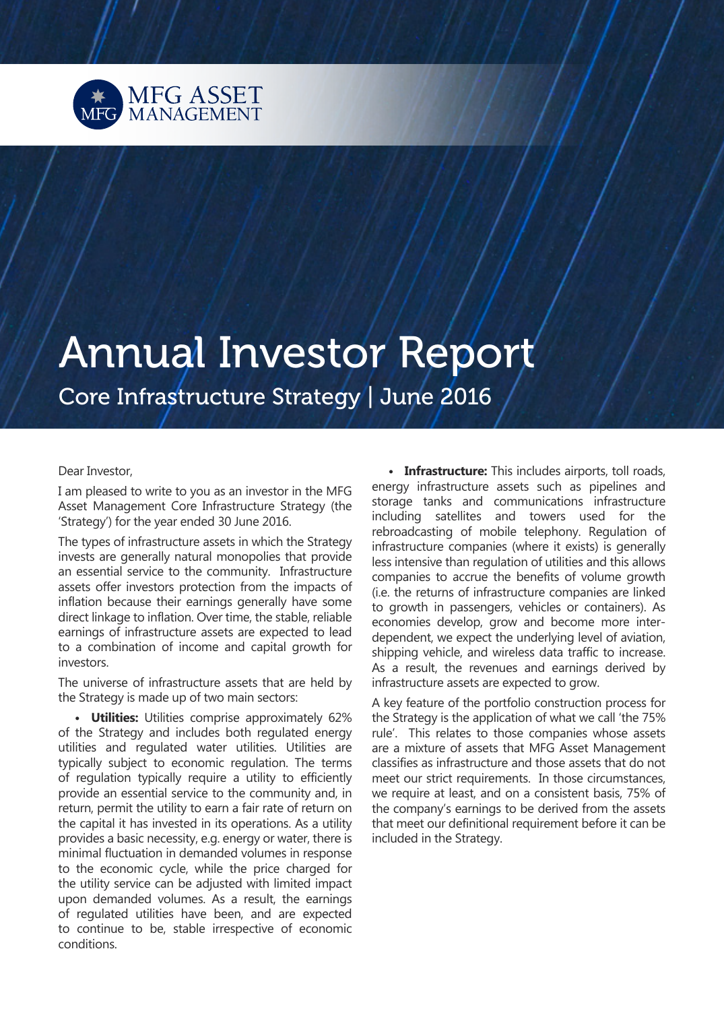

# Annual Investor Report

Core Infrastructure Strategy | June 2016

## Dear Investor,

I am pleased to write to you as an investor in the MFG Asset Management Core Infrastructure Strategy (the 'Strategy') for the year ended 30 June 2016.

The types of infrastructure assets in which the Strategy invests are generally natural monopolies that provide an essential service to the community. Infrastructure assets offer investors protection from the impacts of inflation because their earnings generally have some direct linkage to inflation. Over time, the stable, reliable earnings of infrastructure assets are expected to lead to a combination of income and capital growth for investors.

The universe of infrastructure assets that are held by the Strategy is made up of two main sectors:

**• Utilities:** Utilities comprise approximately 62% of the Strategy and includes both regulated energy utilities and regulated water utilities. Utilities are typically subject to economic regulation. The terms of regulation typically require a utility to efficiently provide an essential service to the community and, in return, permit the utility to earn a fair rate of return on the capital it has invested in its operations. As a utility provides a basic necessity, e.g. energy or water, there is minimal fluctuation in demanded volumes in response to the economic cycle, while the price charged for the utility service can be adjusted with limited impact upon demanded volumes. As a result, the earnings of regulated utilities have been, and are expected to continue to be, stable irrespective of economic conditions.

**• Infrastructure:** This includes airports, toll roads, energy infrastructure assets such as pipelines and storage tanks and communications infrastructure including satellites and towers used for the rebroadcasting of mobile telephony. Regulation of infrastructure companies (where it exists) is generally less intensive than regulation of utilities and this allows companies to accrue the benefits of volume growth (i.e. the returns of infrastructure companies are linked to growth in passengers, vehicles or containers). As economies develop, grow and become more interdependent, we expect the underlying level of aviation, shipping vehicle, and wireless data traffic to increase. As a result, the revenues and earnings derived by infrastructure assets are expected to grow.

A key feature of the portfolio construction process for the Strategy is the application of what we call 'the 75% rule'. This relates to those companies whose assets are a mixture of assets that MFG Asset Management classifies as infrastructure and those assets that do not meet our strict requirements. In those circumstances, we require at least, and on a consistent basis, 75% of the company's earnings to be derived from the assets that meet our definitional requirement before it can be included in the Strategy.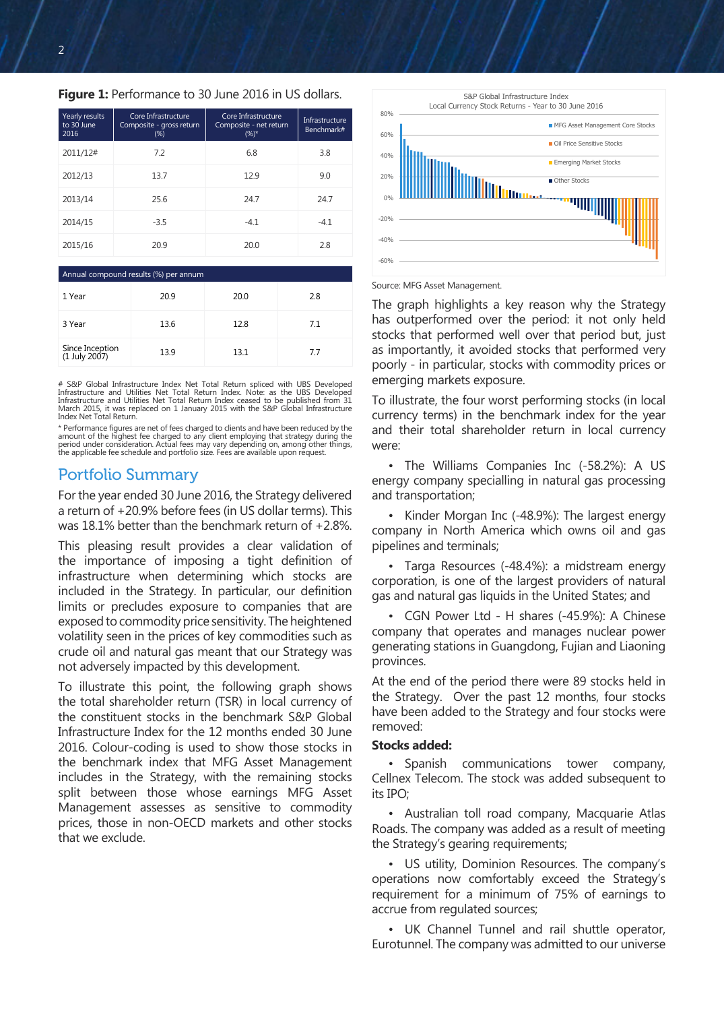## **Figure 1:** Performance to 30 June 2016 in US dollars.

| Yearly results<br>to 30 June<br>2016 | Core Infrastructure<br>Composite - gross return<br>$(\%)$ | Core Infrastructure<br>Composite - net return<br>$(%)^*$ | Infrastructure<br>Benchmark# |
|--------------------------------------|-----------------------------------------------------------|----------------------------------------------------------|------------------------------|
| 2011/12#                             | 7.2                                                       | 6.8                                                      | 3.8                          |
| 2012/13                              | 13.7                                                      | 12.9                                                     | 9.0                          |
| 2013/14                              | 25.6                                                      | 247                                                      | 24.7                         |
| 2014/15                              | $-3.5$                                                    | $-4.1$                                                   | $-4.1$                       |
| 2015/16                              | 20.9                                                      | 20.0                                                     | 2.8                          |

## Annual compound results (%) per annum

| 1 Year                           | 20.9 | 20.0 | 2.8 |
|----------------------------------|------|------|-----|
| 3 Year                           | 13.6 | 12.8 | 7.1 |
| Since Inception<br>(1 July 2007) | 13.9 | 13.1 | 7.7 |

S&P Global Infrastructure Index Net Total Return spliced with UBS Developed Infrastructure and Utilities Net Total Return Index. Note: as the UBS Developed Infrastructure and Utilities Net Total Return Index ceased to be published from 31 March 2015, it was replaced on 1 January 2015 with the S&P Global Infrastructure Index Net Total Return.

\* Performance figures are net of fees charged to clients and have been reduced by the amount of the highest fee charged to any client employing that strategy during the<br>period under consideration. Actual fees may vary depending on, among other things,<br>the applicable fee schedule and portfolio size. Fees are

## Portfolio Summary

For the year ended 30 June 2016, the Strategy delivered a return of +20.9% before fees (in US dollar terms). This was 18.1% better than the benchmark return of +2.8%.

This pleasing result provides a clear validation of the importance of imposing a tight definition of infrastructure when determining which stocks are included in the Strategy. In particular, our definition limits or precludes exposure to companies that are exposed to commodity price sensitivity. The heightened volatility seen in the prices of key commodities such as crude oil and natural gas meant that our Strategy was not adversely impacted by this development.

To illustrate this point, the following graph shows the total shareholder return (TSR) in local currency of the constituent stocks in the benchmark S&P Global Infrastructure Index for the 12 months ended 30 June 2016. Colour-coding is used to show those stocks in the benchmark index that MFG Asset Management includes in the Strategy, with the remaining stocks split between those whose earnings MFG Asset Management assesses as sensitive to commodity prices, those in non-OECD markets and other stocks that we exclude.



#### Source: MFG Asset Management.

The graph highlights a key reason why the Strategy has outperformed over the period: it not only held stocks that performed well over that period but, just as importantly, it avoided stocks that performed very poorly - in particular, stocks with commodity prices or emerging markets exposure.

To illustrate, the four worst performing stocks (in local currency terms) in the benchmark index for the year and their total shareholder return in local currency were:

• The Williams Companies Inc (-58.2%): A US energy company specialling in natural gas processing and transportation;

• Kinder Morgan Inc (-48.9%): The largest energy company in North America which owns oil and gas pipelines and terminals;

• Targa Resources (-48.4%): a midstream energy corporation, is one of the largest providers of natural gas and natural gas liquids in the United States; and

• CGN Power Ltd - H shares (-45.9%): A Chinese company that operates and manages nuclear power generating stations in Guangdong, Fujian and Liaoning provinces.

At the end of the period there were 89 stocks held in the Strategy. Over the past 12 months, four stocks have been added to the Strategy and four stocks were removed:

### **Stocks added:**

• Spanish communications tower company, Cellnex Telecom. The stock was added subsequent to its IPO;

• Australian toll road company, Macquarie Atlas Roads. The company was added as a result of meeting the Strategy's gearing requirements;

• US utility, Dominion Resources. The company's operations now comfortably exceed the Strategy's requirement for a minimum of 75% of earnings to accrue from regulated sources;

• UK Channel Tunnel and rail shuttle operator, Eurotunnel. The company was admitted to our universe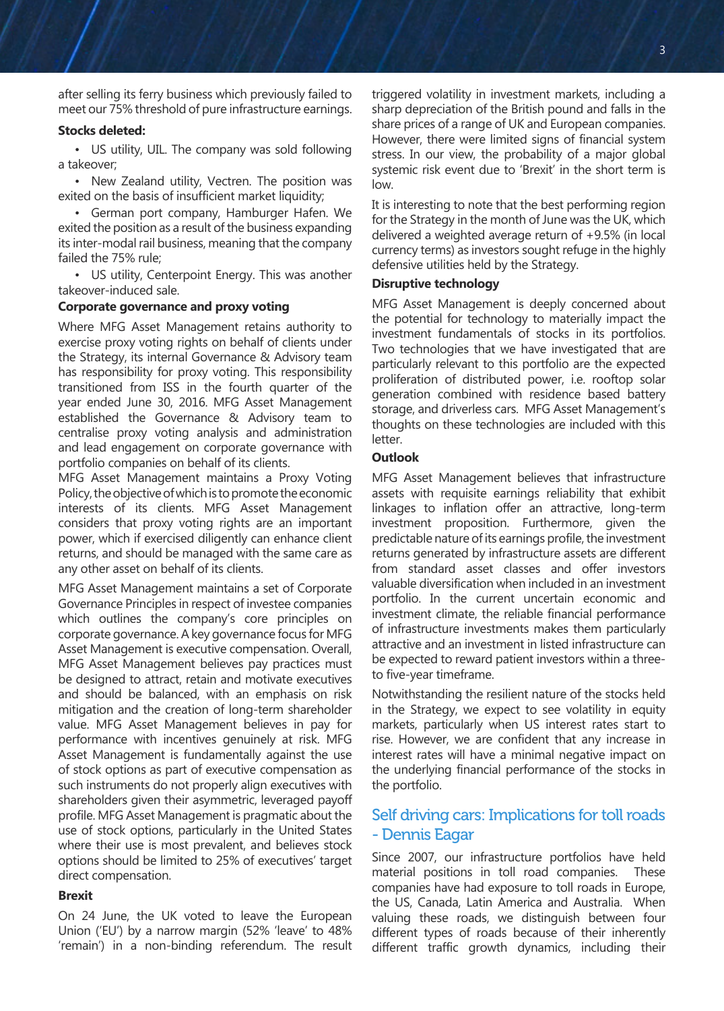after selling its ferry business which previously failed to meet our 75% threshold of pure infrastructure earnings.

## **Stocks deleted:**

• US utility, UIL. The company was sold following a takeover;

• New Zealand utility, Vectren. The position was exited on the basis of insufficient market liquidity;

• German port company, Hamburger Hafen. We exited the position as a result of the business expanding its inter-modal rail business, meaning that the company failed the 75% rule;

• US utility, Centerpoint Energy. This was another takeover-induced sale.

## **Corporate governance and proxy voting**

Where MFG Asset Management retains authority to exercise proxy voting rights on behalf of clients under the Strategy, its internal Governance & Advisory team has responsibility for proxy voting. This responsibility transitioned from ISS in the fourth quarter of the year ended June 30, 2016. MFG Asset Management established the Governance & Advisory team to centralise proxy voting analysis and administration and lead engagement on corporate governance with portfolio companies on behalf of its clients.

MFG Asset Management maintains a Proxy Voting Policy, the objective of which is to promote the economic interests of its clients. MFG Asset Management considers that proxy voting rights are an important power, which if exercised diligently can enhance client returns, and should be managed with the same care as any other asset on behalf of its clients.

MFG Asset Management maintains a set of Corporate Governance Principles in respect of investee companies which outlines the company's core principles on corporate governance. A key governance focus for MFG Asset Management is executive compensation. Overall, MFG Asset Management believes pay practices must be designed to attract, retain and motivate executives and should be balanced, with an emphasis on risk mitigation and the creation of long-term shareholder value. MFG Asset Management believes in pay for performance with incentives genuinely at risk. MFG Asset Management is fundamentally against the use of stock options as part of executive compensation as such instruments do not properly align executives with shareholders given their asymmetric, leveraged payoff profile. MFG Asset Management is pragmatic about the use of stock options, particularly in the United States where their use is most prevalent, and believes stock options should be limited to 25% of executives' target direct compensation.

## **Brexit**

On 24 June, the UK voted to leave the European Union ('EU') by a narrow margin (52% 'leave' to 48% 'remain') in a non-binding referendum. The result triggered volatility in investment markets, including a sharp depreciation of the British pound and falls in the share prices of a range of UK and European companies. However, there were limited signs of financial system stress. In our view, the probability of a major global systemic risk event due to 'Brexit' in the short term is low.

It is interesting to note that the best performing region for the Strategy in the month of June was the UK, which delivered a weighted average return of +9.5% (in local currency terms) as investors sought refuge in the highly defensive utilities held by the Strategy.

## **Disruptive technology**

MFG Asset Management is deeply concerned about the potential for technology to materially impact the investment fundamentals of stocks in its portfolios. Two technologies that we have investigated that are particularly relevant to this portfolio are the expected proliferation of distributed power, i.e. rooftop solar generation combined with residence based battery storage, and driverless cars. MFG Asset Management's thoughts on these technologies are included with this letter.

### **Outlook**

MFG Asset Management believes that infrastructure assets with requisite earnings reliability that exhibit linkages to inflation offer an attractive, long-term investment proposition. Furthermore, given the predictable nature of its earnings profile, the investment returns generated by infrastructure assets are different from standard asset classes and offer investors valuable diversification when included in an investment portfolio. In the current uncertain economic and investment climate, the reliable financial performance of infrastructure investments makes them particularly attractive and an investment in listed infrastructure can be expected to reward patient investors within a threeto five-year timeframe.

Notwithstanding the resilient nature of the stocks held in the Strategy, we expect to see volatility in equity markets, particularly when US interest rates start to rise. However, we are confident that any increase in interest rates will have a minimal negative impact on the underlying financial performance of the stocks in the portfolio.

## Self driving cars: Implications for toll roads - Dennis Eagar

Since 2007, our infrastructure portfolios have held material positions in toll road companies. These companies have had exposure to toll roads in Europe, the US, Canada, Latin America and Australia. When valuing these roads, we distinguish between four different types of roads because of their inherently different traffic growth dynamics, including their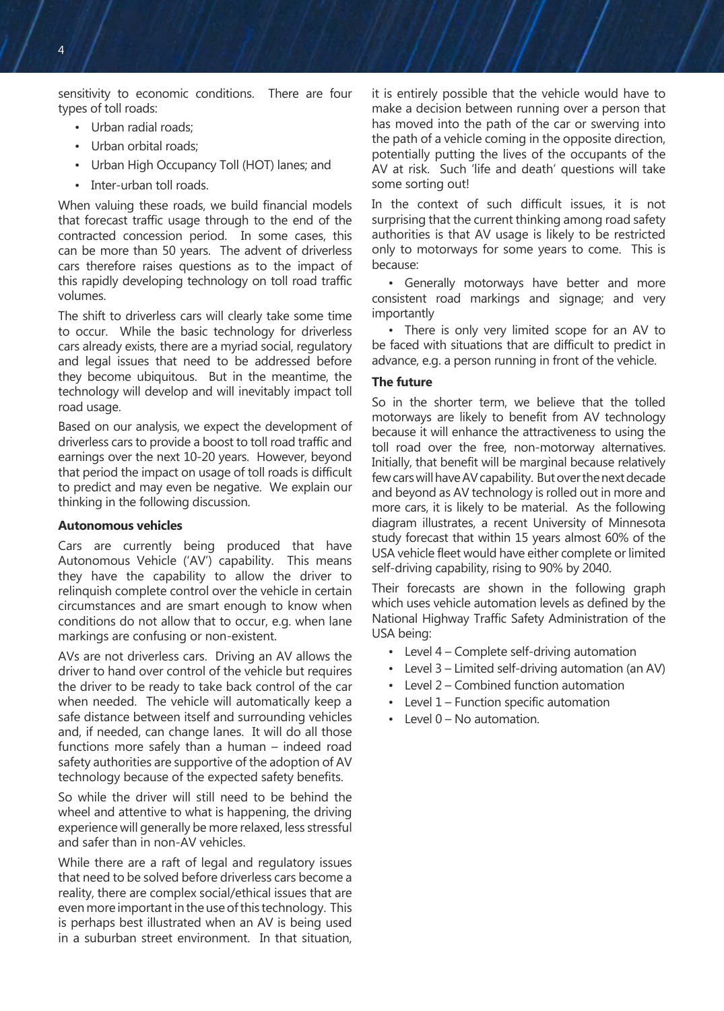sensitivity to economic conditions. There are four types of toll roads:

- Urban radial roads;
- Urban orbital roads;
- Urban High Occupancy Toll (HOT) lanes; and
- Inter-urban toll roads.

When valuing these roads, we build financial models that forecast traffic usage through to the end of the contracted concession period. In some cases, this can be more than 50 years. The advent of driverless cars therefore raises questions as to the impact of this rapidly developing technology on toll road traffic volumes.

The shift to driverless cars will clearly take some time to occur. While the basic technology for driverless cars already exists, there are a myriad social, regulatory and legal issues that need to be addressed before they become ubiquitous. But in the meantime, the technology will develop and will inevitably impact toll road usage.

Based on our analysis, we expect the development of driverless cars to provide a boost to toll road traffic and earnings over the next 10-20 years. However, beyond that period the impact on usage of toll roads is difficult to predict and may even be negative. We explain our thinking in the following discussion.

## **Autonomous vehicles**

Cars are currently being produced that have Autonomous Vehicle ('AV') capability. This means they have the capability to allow the driver to relinquish complete control over the vehicle in certain circumstances and are smart enough to know when conditions do not allow that to occur, e.g. when lane markings are confusing or non-existent.

AVs are not driverless cars. Driving an AV allows the driver to hand over control of the vehicle but requires the driver to be ready to take back control of the car when needed. The vehicle will automatically keep a safe distance between itself and surrounding vehicles and, if needed, can change lanes. It will do all those functions more safely than a human – indeed road safety authorities are supportive of the adoption of AV technology because of the expected safety benefits.

So while the driver will still need to be behind the wheel and attentive to what is happening, the driving experience will generally be more relaxed, less stressful and safer than in non-AV vehicles.

While there are a raft of legal and regulatory issues that need to be solved before driverless cars become a reality, there are complex social/ethical issues that are even more important in the use of this technology. This is perhaps best illustrated when an AV is being used in a suburban street environment. In that situation,

it is entirely possible that the vehicle would have to make a decision between running over a person that has moved into the path of the car or swerving into the path of a vehicle coming in the opposite direction, potentially putting the lives of the occupants of the AV at risk. Such 'life and death' questions will take some sorting out!

In the context of such difficult issues, it is not surprising that the current thinking among road safety authorities is that AV usage is likely to be restricted only to motorways for some years to come. This is because:

• Generally motorways have better and more consistent road markings and signage; and very importantly

• There is only very limited scope for an AV to be faced with situations that are difficult to predict in advance, e.g. a person running in front of the vehicle.

## **The future**

So in the shorter term, we believe that the tolled motorways are likely to benefit from AV technology because it will enhance the attractiveness to using the toll road over the free, non-motorway alternatives. Initially, that benefit will be marginal because relatively few cars will have AV capability. But over the next decade and beyond as AV technology is rolled out in more and more cars, it is likely to be material. As the following diagram illustrates, a recent University of Minnesota study forecast that within 15 years almost 60% of the USA vehicle fleet would have either complete or limited self-driving capability, rising to 90% by 2040.

Their forecasts are shown in the following graph which uses vehicle automation levels as defined by the National Highway Traffic Safety Administration of the USA being:

- Level 4 Complete self-driving automation
- Level 3 Limited self-driving automation (an AV)
- Level 2 Combined function automation
- Level 1 Function specific automation
- Level 0 No automation.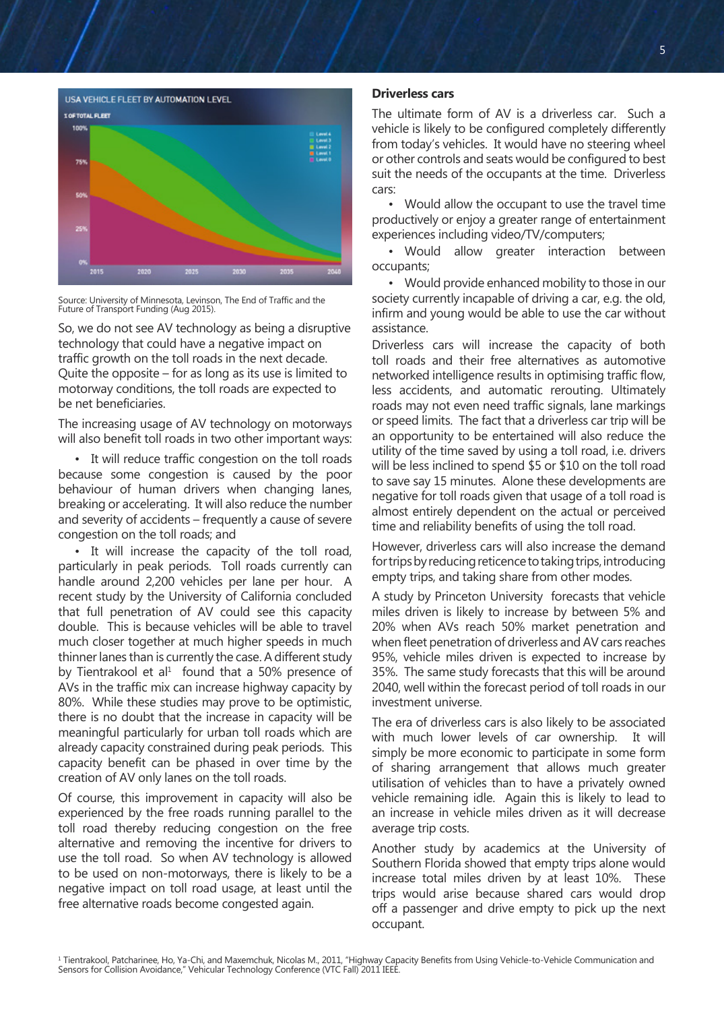

Source: University of Minnesota, Levinson, The End of Traffic and the Future of Transport Funding (Aug 2015).

So, we do not see AV technology as being a disruptive technology that could have a negative impact on traffic growth on the toll roads in the next decade. Quite the opposite – for as long as its use is limited to motorway conditions, the toll roads are expected to be net beneficiaries.

The increasing usage of AV technology on motorways will also benefit toll roads in two other important ways:

• It will reduce traffic congestion on the toll roads because some congestion is caused by the poor behaviour of human drivers when changing lanes, breaking or accelerating. It will also reduce the number and severity of accidents – frequently a cause of severe congestion on the toll roads; and

• It will increase the capacity of the toll road, particularly in peak periods. Toll roads currently can handle around 2,200 vehicles per lane per hour. A recent study by the University of California concluded that full penetration of AV could see this capacity double. This is because vehicles will be able to travel much closer together at much higher speeds in much thinner lanes than is currently the case. A different study by Tientrakool et al $1$  found that a 50% presence of AVs in the traffic mix can increase highway capacity by 80%. While these studies may prove to be optimistic, there is no doubt that the increase in capacity will be meaningful particularly for urban toll roads which are already capacity constrained during peak periods. This capacity benefit can be phased in over time by the creation of AV only lanes on the toll roads.

Of course, this improvement in capacity will also be experienced by the free roads running parallel to the toll road thereby reducing congestion on the free alternative and removing the incentive for drivers to use the toll road. So when AV technology is allowed to be used on non-motorways, there is likely to be a negative impact on toll road usage, at least until the free alternative roads become congested again.

## **Driverless cars**

The ultimate form of AV is a driverless car. Such a vehicle is likely to be configured completely differently from today's vehicles. It would have no steering wheel or other controls and seats would be configured to best suit the needs of the occupants at the time. Driverless cars:

• Would allow the occupant to use the travel time productively or enjoy a greater range of entertainment experiences including video/TV/computers;

• Would allow greater interaction between occupants;

• Would provide enhanced mobility to those in our society currently incapable of driving a car, e.g. the old, infirm and young would be able to use the car without assistance.

Driverless cars will increase the capacity of both toll roads and their free alternatives as automotive networked intelligence results in optimising traffic flow, less accidents, and automatic rerouting. Ultimately roads may not even need traffic signals, lane markings or speed limits. The fact that a driverless car trip will be an opportunity to be entertained will also reduce the utility of the time saved by using a toll road, i.e. drivers will be less inclined to spend \$5 or \$10 on the toll road to save say 15 minutes. Alone these developments are negative for toll roads given that usage of a toll road is almost entirely dependent on the actual or perceived time and reliability benefits of using the toll road.

However, driverless cars will also increase the demand for trips by reducing reticence to taking trips, introducing empty trips, and taking share from other modes.

A study by Princeton University forecasts that vehicle miles driven is likely to increase by between 5% and 20% when AVs reach 50% market penetration and when fleet penetration of driverless and AV cars reaches 95%, vehicle miles driven is expected to increase by 35%. The same study forecasts that this will be around 2040, well within the forecast period of toll roads in our investment universe.

The era of driverless cars is also likely to be associated with much lower levels of car ownership. It will simply be more economic to participate in some form of sharing arrangement that allows much greater utilisation of vehicles than to have a privately owned vehicle remaining idle. Again this is likely to lead to an increase in vehicle miles driven as it will decrease average trip costs.

Another study by academics at the University of Southern Florida showed that empty trips alone would increase total miles driven by at least 10%. These trips would arise because shared cars would drop off a passenger and drive empty to pick up the next occupant.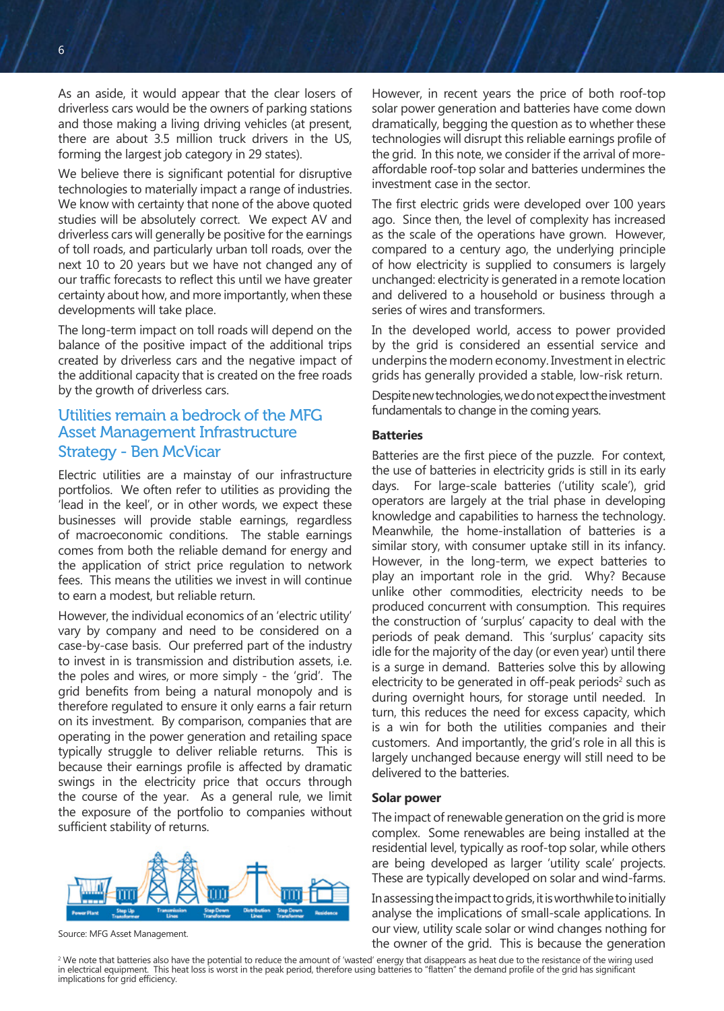As an aside, it would appear that the clear losers of driverless cars would be the owners of parking stations and those making a living driving vehicles (at present, there are about 3.5 million truck drivers in the US, forming the largest job category in 29 states).

We believe there is significant potential for disruptive technologies to materially impact a range of industries. We know with certainty that none of the above quoted studies will be absolutely correct. We expect AV and driverless cars will generally be positive for the earnings of toll roads, and particularly urban toll roads, over the next 10 to 20 years but we have not changed any of our traffic forecasts to reflect this until we have greater certainty about how, and more importantly, when these developments will take place.

The long-term impact on toll roads will depend on the balance of the positive impact of the additional trips created by driverless cars and the negative impact of the additional capacity that is created on the free roads by the growth of driverless cars.

## Utilities remain a bedrock of the MFG Asset Management Infrastructure Strategy - Ben McVicar

Electric utilities are a mainstay of our infrastructure portfolios. We often refer to utilities as providing the 'lead in the keel', or in other words, we expect these businesses will provide stable earnings, regardless of macroeconomic conditions. The stable earnings comes from both the reliable demand for energy and the application of strict price regulation to network fees. This means the utilities we invest in will continue to earn a modest, but reliable return.

However, the individual economics of an 'electric utility' vary by company and need to be considered on a case-by-case basis. Our preferred part of the industry to invest in is transmission and distribution assets, i.e. the poles and wires, or more simply - the 'grid'. The grid benefits from being a natural monopoly and is therefore regulated to ensure it only earns a fair return on its investment. By comparison, companies that are operating in the power generation and retailing space typically struggle to deliver reliable returns. This is because their earnings profile is affected by dramatic swings in the electricity price that occurs through the course of the year. As a general rule, we limit the exposure of the portfolio to companies without sufficient stability of returns.



Source: MFG Asset Management.

However, in recent years the price of both roof-top solar power generation and batteries have come down dramatically, begging the question as to whether these technologies will disrupt this reliable earnings profile of the grid. In this note, we consider if the arrival of moreaffordable roof-top solar and batteries undermines the investment case in the sector.

The first electric grids were developed over 100 years ago. Since then, the level of complexity has increased as the scale of the operations have grown. However, compared to a century ago, the underlying principle of how electricity is supplied to consumers is largely unchanged: electricity is generated in a remote location and delivered to a household or business through a series of wires and transformers.

In the developed world, access to power provided by the grid is considered an essential service and underpins the modern economy. Investment in electric grids has generally provided a stable, low-risk return.

Despite new technologies, we do not expect the investment fundamentals to change in the coming years.

## **Batteries**

Batteries are the first piece of the puzzle. For context, the use of batteries in electricity grids is still in its early days. For large-scale batteries ('utility scale'), grid operators are largely at the trial phase in developing knowledge and capabilities to harness the technology. Meanwhile, the home-installation of batteries is a similar story, with consumer uptake still in its infancy. However, in the long-term, we expect batteries to play an important role in the grid. Why? Because unlike other commodities, electricity needs to be produced concurrent with consumption. This requires the construction of 'surplus' capacity to deal with the periods of peak demand. This 'surplus' capacity sits idle for the majority of the day (or even year) until there is a surge in demand. Batteries solve this by allowing electricity to be generated in off-peak periods $^2$  such as during overnight hours, for storage until needed. In turn, this reduces the need for excess capacity, which is a win for both the utilities companies and their customers. And importantly, the grid's role in all this is largely unchanged because energy will still need to be delivered to the batteries.

#### **Solar power**

The impact of renewable generation on the grid is more complex. Some renewables are being installed at the residential level, typically as roof-top solar, while others are being developed as larger 'utility scale' projects. These are typically developed on solar and wind-farms.

In assessing the impact to grids, it is worthwhile to initially analyse the implications of small-scale applications. In our view, utility scale solar or wind changes nothing for

the owner of the grid. This is because the generation<br>We note that batteries also have the potential to reduce the amount of 'wasted' energy that disappears as heat due to the resistance of the wiring used "<br>In electrical implications for grid efficiency.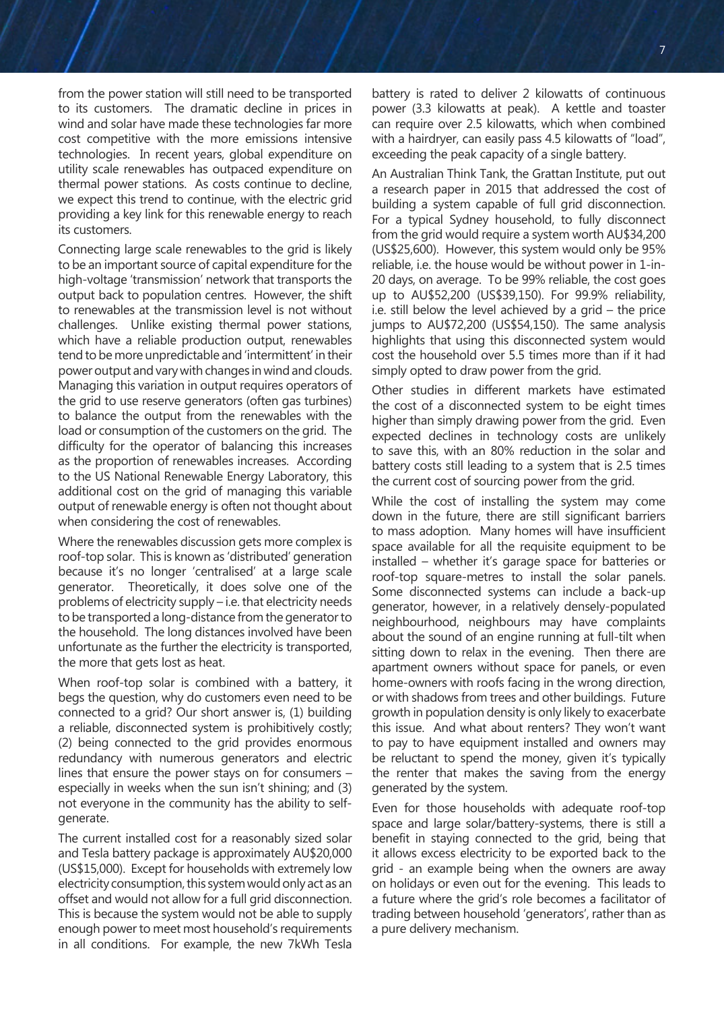from the power station will still need to be transported to its customers. The dramatic decline in prices in wind and solar have made these technologies far more cost competitive with the more emissions intensive technologies. In recent years, global expenditure on utility scale renewables has outpaced expenditure on thermal power stations. As costs continue to decline, we expect this trend to continue, with the electric grid providing a key link for this renewable energy to reach its customers.

Connecting large scale renewables to the grid is likely to be an important source of capital expenditure for the high-voltage 'transmission' network that transports the output back to population centres. However, the shift to renewables at the transmission level is not without challenges. Unlike existing thermal power stations, which have a reliable production output, renewables tend to be more unpredictable and 'intermittent' in their power output and vary with changes in wind and clouds. Managing this variation in output requires operators of the grid to use reserve generators (often gas turbines) to balance the output from the renewables with the load or consumption of the customers on the grid. The difficulty for the operator of balancing this increases as the proportion of renewables increases. According to the US National Renewable Energy Laboratory, this additional cost on the grid of managing this variable output of renewable energy is often not thought about when considering the cost of renewables.

Where the renewables discussion gets more complex is roof-top solar. This is known as 'distributed' generation because it's no longer 'centralised' at a large scale generator. Theoretically, it does solve one of the problems of electricity supply – i.e. that electricity needs to be transported a long-distance from the generator to the household. The long distances involved have been unfortunate as the further the electricity is transported, the more that gets lost as heat.

When roof-top solar is combined with a battery, it begs the question, why do customers even need to be connected to a grid? Our short answer is, (1) building a reliable, disconnected system is prohibitively costly; (2) being connected to the grid provides enormous redundancy with numerous generators and electric lines that ensure the power stays on for consumers – especially in weeks when the sun isn't shining; and (3) not everyone in the community has the ability to selfgenerate.

The current installed cost for a reasonably sized solar and Tesla battery package is approximately AU\$20,000 (US\$15,000). Except for households with extremely low electricity consumption, this system would only act as an offset and would not allow for a full grid disconnection. This is because the system would not be able to supply enough power to meet most household's requirements in all conditions. For example, the new 7kWh Tesla

battery is rated to deliver 2 kilowatts of continuous power (3.3 kilowatts at peak). A kettle and toaster can require over 2.5 kilowatts, which when combined with a hairdryer, can easily pass 4.5 kilowatts of "load", exceeding the peak capacity of a single battery.

An Australian Think Tank, the Grattan Institute, put out a research paper in 2015 that addressed the cost of building a system capable of full grid disconnection. For a typical Sydney household, to fully disconnect from the grid would require a system worth AU\$34,200 (US\$25,600). However, this system would only be 95% reliable, i.e. the house would be without power in 1-in-20 days, on average. To be 99% reliable, the cost goes up to AU\$52,200 (US\$39,150). For 99.9% reliability, i.e. still below the level achieved by a grid – the price jumps to AU\$72,200 (US\$54,150). The same analysis highlights that using this disconnected system would cost the household over 5.5 times more than if it had simply opted to draw power from the grid.

Other studies in different markets have estimated the cost of a disconnected system to be eight times higher than simply drawing power from the grid. Even expected declines in technology costs are unlikely to save this, with an 80% reduction in the solar and battery costs still leading to a system that is 2.5 times the current cost of sourcing power from the grid.

While the cost of installing the system may come down in the future, there are still significant barriers to mass adoption. Many homes will have insufficient space available for all the requisite equipment to be installed – whether it's garage space for batteries or roof-top square-metres to install the solar panels. Some disconnected systems can include a back-up generator, however, in a relatively densely-populated neighbourhood, neighbours may have complaints about the sound of an engine running at full-tilt when sitting down to relax in the evening. Then there are apartment owners without space for panels, or even home-owners with roofs facing in the wrong direction, or with shadows from trees and other buildings. Future growth in population density is only likely to exacerbate this issue. And what about renters? They won't want to pay to have equipment installed and owners may be reluctant to spend the money, given it's typically the renter that makes the saving from the energy generated by the system.

Even for those households with adequate roof-top space and large solar/battery-systems, there is still a benefit in staying connected to the grid, being that it allows excess electricity to be exported back to the grid - an example being when the owners are away on holidays or even out for the evening. This leads to a future where the grid's role becomes a facilitator of trading between household 'generators', rather than as a pure delivery mechanism.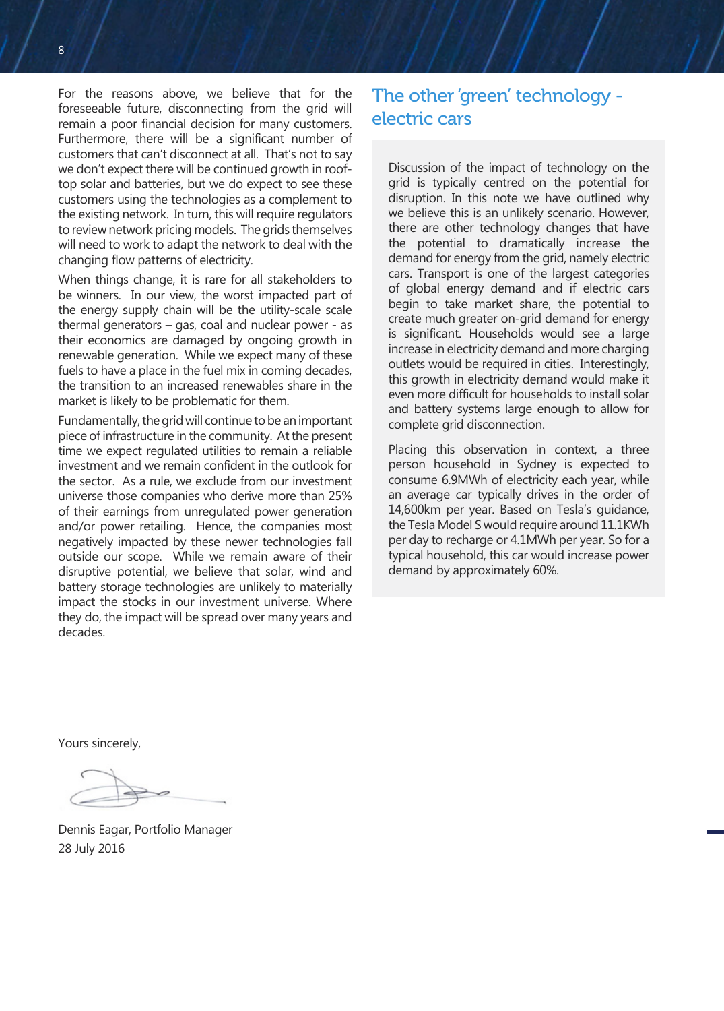For the reasons above, we believe that for the foreseeable future, disconnecting from the grid will remain a poor financial decision for many customers. Furthermore, there will be a significant number of customers that can't disconnect at all. That's not to say we don't expect there will be continued growth in rooftop solar and batteries, but we do expect to see these customers using the technologies as a complement to the existing network. In turn, this will require regulators to review network pricing models. The grids themselves will need to work to adapt the network to deal with the changing flow patterns of electricity.

When things change, it is rare for all stakeholders to be winners. In our view, the worst impacted part of the energy supply chain will be the utility-scale scale thermal generators – gas, coal and nuclear power - as their economics are damaged by ongoing growth in renewable generation. While we expect many of these fuels to have a place in the fuel mix in coming decades, the transition to an increased renewables share in the market is likely to be problematic for them.

Fundamentally, the grid will continue to be an important piece of infrastructure in the community. At the present time we expect regulated utilities to remain a reliable investment and we remain confident in the outlook for the sector. As a rule, we exclude from our investment universe those companies who derive more than 25% of their earnings from unregulated power generation and/or power retailing. Hence, the companies most negatively impacted by these newer technologies fall outside our scope. While we remain aware of their disruptive potential, we believe that solar, wind and battery storage technologies are unlikely to materially impact the stocks in our investment universe. Where they do, the impact will be spread over many years and decades.

# The other 'green' technology electric cars

Discussion of the impact of technology on the grid is typically centred on the potential for disruption. In this note we have outlined why we believe this is an unlikely scenario. However, there are other technology changes that have the potential to dramatically increase the demand for energy from the grid, namely electric cars. Transport is one of the largest categories of global energy demand and if electric cars begin to take market share, the potential to create much greater on-grid demand for energy is significant. Households would see a large increase in electricity demand and more charging outlets would be required in cities. Interestingly, this growth in electricity demand would make it even more difficult for households to install solar and battery systems large enough to allow for complete grid disconnection.

Placing this observation in context, a three person household in Sydney is expected to consume 6.9MWh of electricity each year, while an average car typically drives in the order of 14,600km per year. Based on Tesla's guidance, the Tesla Model S would require around 11.1KWh per day to recharge or 4.1MWh per year. So for a typical household, this car would increase power demand by approximately 60%.

Yours sincerely,

Dennis Eagar, Portfolio Manager 28 July 2016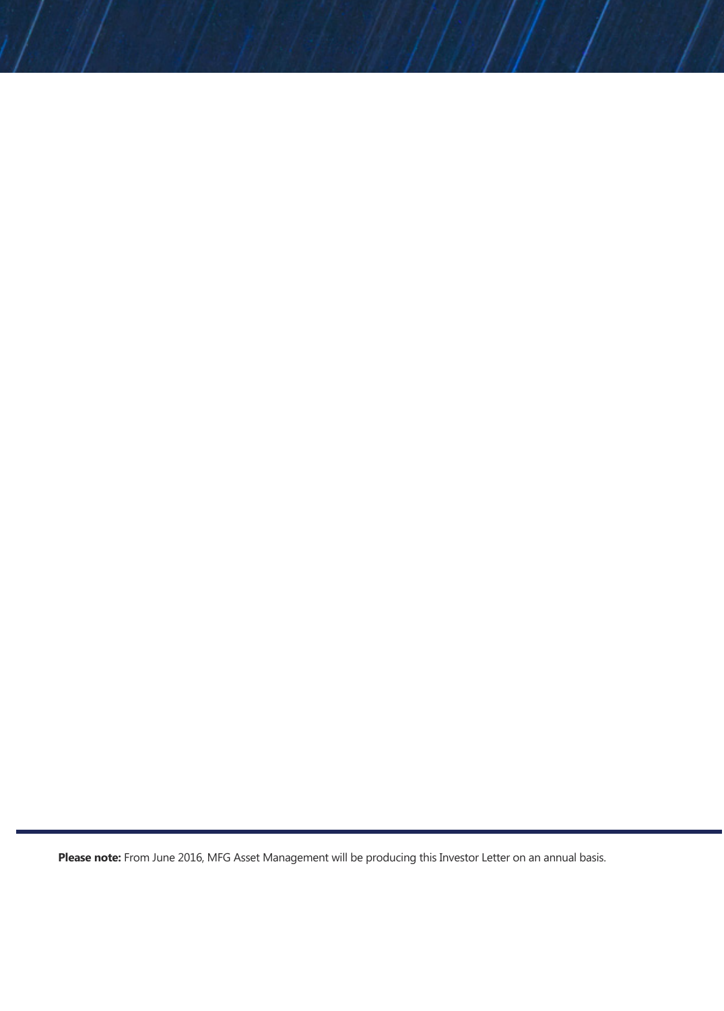**Please note:** From June 2016, MFG Asset Management will be producing this Investor Letter on an annual basis.

8 9